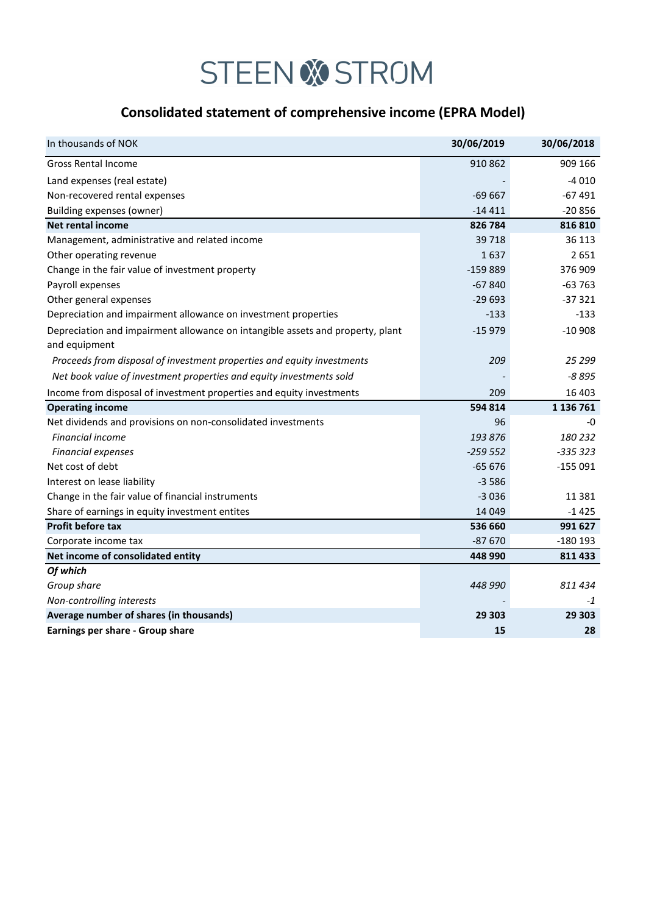## **STEEN & STROM**

## **Consolidated statement of comprehensive income (EPRA Model)**

| In thousands of NOK                                                            | 30/06/2019 | 30/06/2018 |
|--------------------------------------------------------------------------------|------------|------------|
| <b>Gross Rental Income</b>                                                     | 910 862    | 909 166    |
| Land expenses (real estate)                                                    |            | $-4010$    |
| Non-recovered rental expenses                                                  | $-69667$   | $-67491$   |
| Building expenses (owner)                                                      | $-14411$   | $-20856$   |
| <b>Net rental income</b>                                                       | 826 784    | 816 810    |
| Management, administrative and related income                                  | 39 718     | 36 113     |
| Other operating revenue                                                        | 1637       | 2651       |
| Change in the fair value of investment property                                | $-159889$  | 376 909    |
| Payroll expenses                                                               | $-67840$   | $-63763$   |
| Other general expenses                                                         | $-29693$   | $-37321$   |
| Depreciation and impairment allowance on investment properties                 | $-133$     | $-133$     |
| Depreciation and impairment allowance on intangible assets and property, plant | $-15979$   | $-10908$   |
| and equipment                                                                  |            |            |
| Proceeds from disposal of investment properties and equity investments         | 209        | 25 299     |
| Net book value of investment properties and equity investments sold            |            | $-8895$    |
| Income from disposal of investment properties and equity investments           | 209        | 16 403     |
| <b>Operating income</b>                                                        | 594 814    | 1 136 761  |
| Net dividends and provisions on non-consolidated investments                   | 96         | -0         |
| <b>Financial income</b>                                                        | 193 876    | 180 232    |
| <b>Financial expenses</b>                                                      | $-259552$  | $-335323$  |
| Net cost of debt                                                               | $-65676$   | $-155091$  |
| Interest on lease liability                                                    | $-3586$    |            |
| Change in the fair value of financial instruments                              | $-3036$    | 11 381     |
| Share of earnings in equity investment entites                                 | 14 0 49    | $-1425$    |
| <b>Profit before tax</b>                                                       | 536 660    | 991 627    |
| Corporate income tax                                                           | $-87670$   | $-180$ 193 |
| Net income of consolidated entity                                              | 448 990    | 811 433    |
| Of which                                                                       |            |            |
| Group share                                                                    | 448 990    | 811 434    |
| Non-controlling interests                                                      |            | $-1$       |
| Average number of shares (in thousands)                                        | 29 303     | 29 303     |
| Earnings per share - Group share                                               | 15         | 28         |